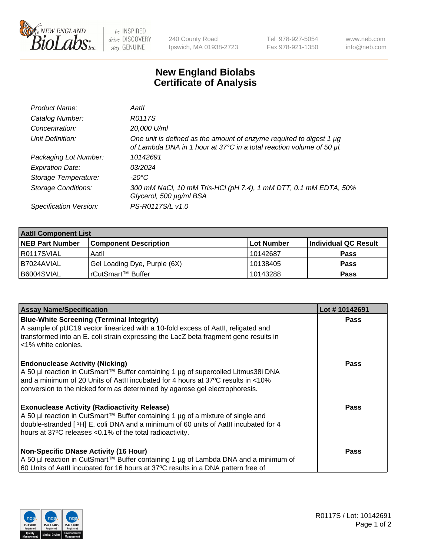

 $be$  INSPIRED drive DISCOVERY stay GENUINE

240 County Road Ipswich, MA 01938-2723 Tel 978-927-5054 Fax 978-921-1350 www.neb.com info@neb.com

## **New England Biolabs Certificate of Analysis**

| Product Name:              | Aatll                                                                                                                                       |
|----------------------------|---------------------------------------------------------------------------------------------------------------------------------------------|
| Catalog Number:            | R0117S                                                                                                                                      |
| Concentration:             | 20,000 U/ml                                                                                                                                 |
| Unit Definition:           | One unit is defined as the amount of enzyme required to digest 1 µg<br>of Lambda DNA in 1 hour at 37°C in a total reaction volume of 50 µl. |
| Packaging Lot Number:      | 10142691                                                                                                                                    |
| <b>Expiration Date:</b>    | 03/2024                                                                                                                                     |
| Storage Temperature:       | $-20^{\circ}$ C                                                                                                                             |
| <b>Storage Conditions:</b> | 300 mM NaCl, 10 mM Tris-HCl (pH 7.4), 1 mM DTT, 0.1 mM EDTA, 50%<br>Glycerol, 500 µg/ml BSA                                                 |
| Specification Version:     | PS-R0117S/L v1.0                                                                                                                            |

| <b>Aatll Component List</b> |                              |            |                      |  |  |
|-----------------------------|------------------------------|------------|----------------------|--|--|
| <b>NEB Part Number</b>      | <b>Component Description</b> | Lot Number | Individual QC Result |  |  |
| R0117SVIAL                  | Aatll                        | 10142687   | <b>Pass</b>          |  |  |
| I B7024AVIAL                | Gel Loading Dye, Purple (6X) | 10138405   | <b>Pass</b>          |  |  |
| B6004SVIAL                  | rCutSmart™ Buffer            | 10143288   | <b>Pass</b>          |  |  |

| <b>Assay Name/Specification</b>                                                                                                                                                                                                                                                                | Lot #10142691 |
|------------------------------------------------------------------------------------------------------------------------------------------------------------------------------------------------------------------------------------------------------------------------------------------------|---------------|
| <b>Blue-White Screening (Terminal Integrity)</b><br>A sample of pUC19 vector linearized with a 10-fold excess of Aatll, religated and<br>transformed into an E. coli strain expressing the LacZ beta fragment gene results in<br><1% white colonies.                                           | <b>Pass</b>   |
| <b>Endonuclease Activity (Nicking)</b><br>A 50 µl reaction in CutSmart™ Buffer containing 1 µg of supercoiled Litmus38i DNA<br>and a minimum of 20 Units of AatII incubated for 4 hours at 37°C results in <10%<br>conversion to the nicked form as determined by agarose gel electrophoresis. | <b>Pass</b>   |
| <b>Exonuclease Activity (Radioactivity Release)</b><br>A 50 µl reaction in CutSmart™ Buffer containing 1 µg of a mixture of single and<br>double-stranded [3H] E. coli DNA and a minimum of 60 units of Aatll incubated for 4<br>hours at 37°C releases <0.1% of the total radioactivity.      | Pass          |
| <b>Non-Specific DNase Activity (16 Hour)</b><br>  A 50 µl reaction in CutSmart™ Buffer containing 1 µg of Lambda DNA and a minimum of<br>60 Units of AatII incubated for 16 hours at 37°C results in a DNA pattern free of                                                                     | <b>Pass</b>   |